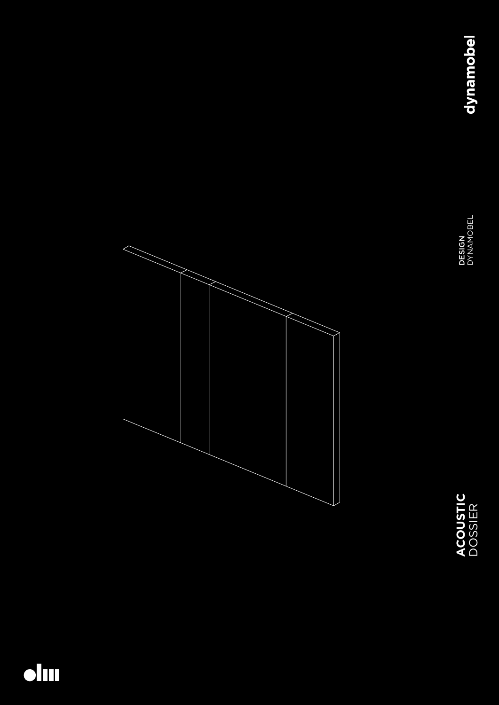



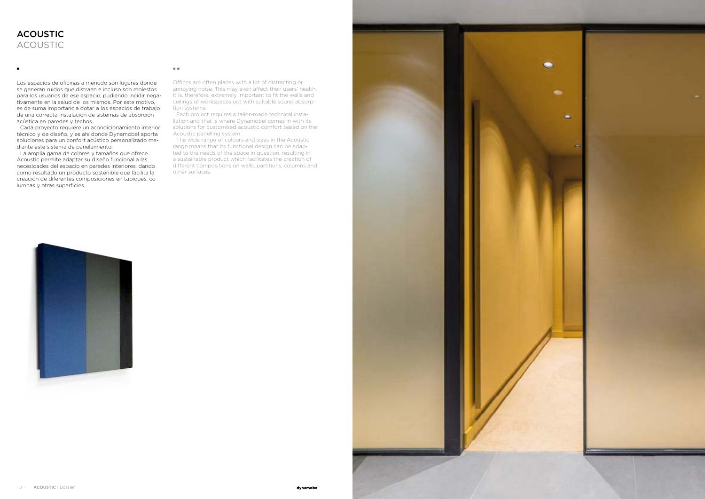



Los espacios de oficinas a menudo son lugares donde se generan ruidos que distraen e incluso son molestos para los usuarios de ese espacio, pudiendo incidir negativamente en la salud de los mismos. Por este motivo, es de suma importancia dotar a los espacios de trabajo de una correcta instalación de sistemas de absorción acústica en paredes y techos.

Cada proyecto requiere un acondicionamiento interior técnico y de diseño, y es ahí donde Dynamobel aporta soluciones para un confort acústico personalizado mediante este sistema de panelamiento.

La amplia gama de colores y tamaños que ofrece Acoustic permite adaptar su diseño funcional a las necesidades del espacio en paredes interiores, dando como resultado un producto sostenible que facilita la creación de diferentes composiciones en tabiques, columnas y otras superficies.

#### $\bullet$ <br> $\bullet$

# ACOUSTIC ACOUSTIC

Offices are often places with a lot of distracting or annoying noise. This may even affect their users' health. It is, therefore, extremely important to fit the walls and ceilings of workspaces out with suitable sound absorption systems.

Each project requires a tailor-made technical installation and that is where Dynamobel comes in with its solutions for customised acoustic comfort based on the Acoustic panelling system.

The wide range of colours and sizes in the Acoustic range means that its functional design can be adapted to the needs of the space in question, resulting in a sustainable product which facilitates the creation of different compositions on walls, partitions, columns and other surfaces.

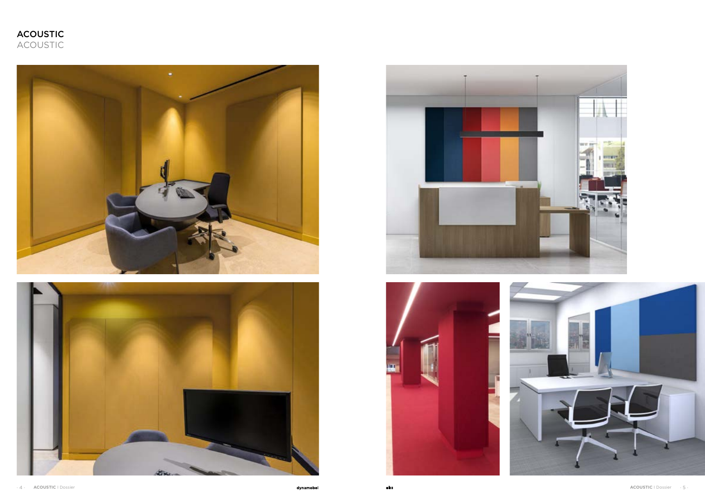









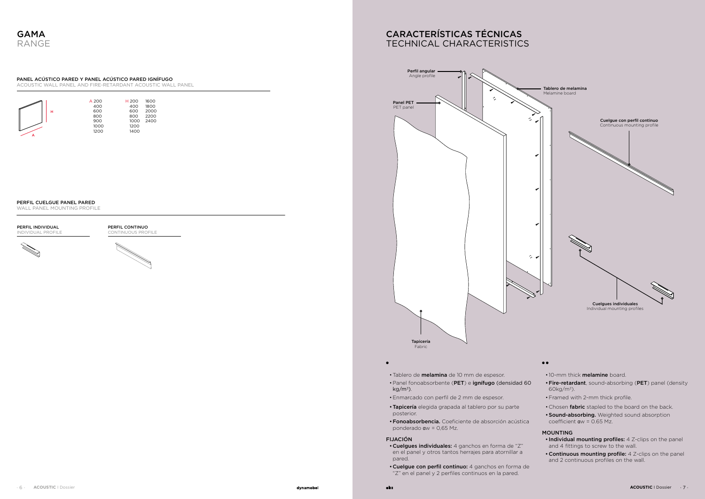- Tablero de melamina de 10 mm de espesor.
- •Panel fonoabsorbente (PET) e ignífugo (densidad 60  $kg/m<sup>3</sup>$ ).
- •Enmarcado con perfil de 2 mm de espesor.
- •Tapicería elegida grapada al tablero por su parte posterior.
- •Fonoabsorbencia. Coeficiente de absorción acústica ponderado  $aw = 0.65$  Mz.

#### FIJACIÓN

 $\bullet$ 

- •Cuelgues individuales: 4 ganchos en forma de "Z" en el panel y otros tantos herrajes para atornillar a pared.
- •Cuelgue con perfil continuo: 4 ganchos en forma de "Z" en el panel y 2 perfiles continuos en la pared.

### $\bullet\,\bullet$

- 10-mm thick **melamine** board.
- •Fire-retardant, sound-absorbing (PET) panel (density 60kg/m3).
- Framed with 2-mm thick profile.
- Chosen fabric stapled to the board on the back.
- **Sound-absorbing.** Weighted sound absorption coefficient  $aw = 0.65$  Mz.

| н | A 200<br>400<br>600<br>800<br>900<br>1000 |
|---|-------------------------------------------|
|   |                                           |
|   | 1200                                      |

| H 200 | 1600 |
|-------|------|
| 400   | 1800 |
| 600   | 2000 |
| 800   | 2200 |
| 1000  | 2400 |
| 1200  |      |
| 1400  |      |

PERFIL INDIVIDUAL **INDIVIDUAL PROFIL** 



# CARACTERÍSTICAS TÉCNICAS TECHNICAL CHARACTERISTICS



# PANEL ACÚSTICO PARED Y PANEL ACÚSTICO PARED IGNÍFUGO

ACOUSTIC WALL PANEL AND FIRE-RETARDANT ACOUSTIC WALL PANEL

### PERFIL CUELGUE PANEL PARED

WALL PANEL MOUNTING PROFILE

## MOUNTING

- Individual mounting profiles: 4 Z-clips on the panel and 4 fittings to screw to the wall.
- •Continuous mounting profile: 4 Z-clips on the panel and 2 continuous profiles on the wall.

PERFIL CONTINUO CONTINUOUS PROFILE



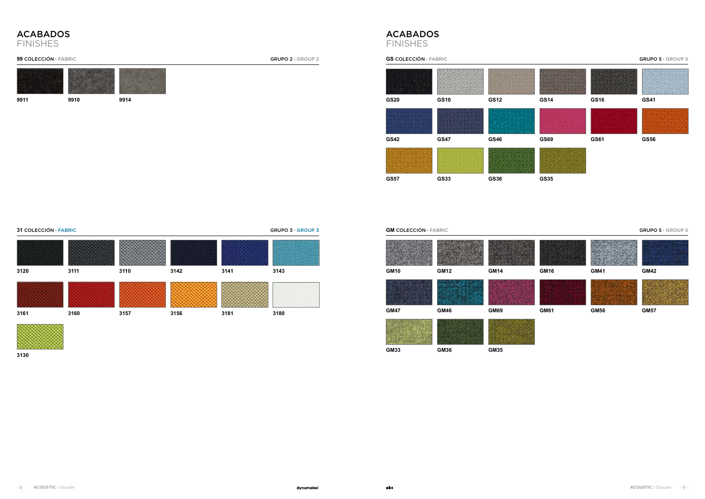**GS20 GS10 GS12 GS14 GS16 GS41 GS42 GS47 GS57 GS33 GS46 GS36 GS COLECCIÓN · FABRIC GRUPO 5 · GROUP 5** 

# **GM COLECCIÓN · FABRIC GRUPO 5 · GROUP 5**





**GS69**



**GS35**





**GS61 GS56**













**9911 9910 9914**

**31** COLECCIÓN · FABRIC GRUPO 3 · GROUP 3



**3130**

| 3120 | 3111 | 3110 | 3142 | 3141 | 3143 |
|------|------|------|------|------|------|
| 3161 | 3160 | 3157 | 3156 | 3181 | 3180 |

# ACABADOS FINISHES

# **99 COLECCIÓN · FABRIC GRUPO 2 · GROUP 2**

# ACABADOS FINISHES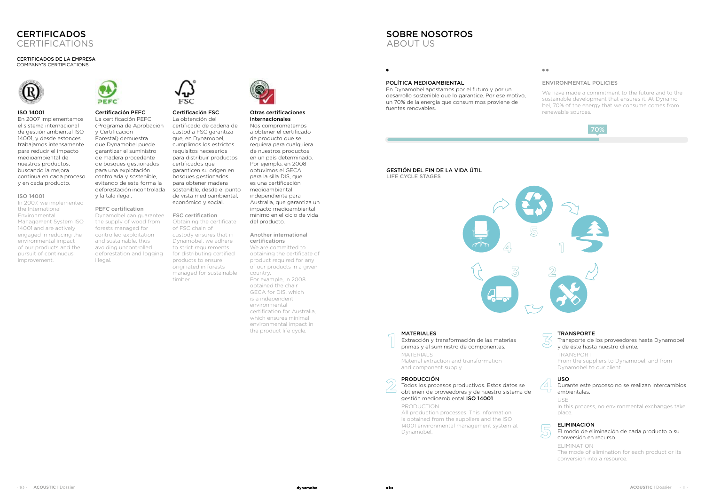

# **CERTIFICADOS** CERTIFICATIONS



**1**

**2**







### ISO 14001

En 2007 implementamos el sistema internacional de gestión ambiental ISO 14001, y desde estonces trabajamos intensamente para reducir el impacto medioambiental de nuestros productos, buscando la mejora continua en cada proceso y en cada producto.

### ISO 14001

In 2007, we implemented the International Environmental Management System ISO 14001 and are actively engaged in reducing the environmental impact of our products and the pursuit of continuous improvement.



Dynamobel can guarantee FSC certification the supply of wood from forests managed for controlled exploitation and sustainable, thus avoiding uncontrolled deforestation and logging illegal.



# Certificación PEFC

La certificación PEFC (Programa de Aprobación y Certificación Forestal) demuestra que Dynamobel puede garantizar el suministro de madera procedente de bosques gestionados para una explotación controlada y sostenible, evitando de esta forma la deforestación incontrolada y la tala ilegal.

## PEFC certification

#### Certificación FSC La obtención del

certificado de cadena de custodia FSC garantiza que, en Dynamobel, cumplimos los estrictos requisitos necesarios para distribuir productos certificados que garanticen su origen en bosques gestionados para obtener madera sostenible, desde el punto de vista medioambiental, económico y social.

Obtaining the certificate of FSC chain of custody ensures that in Dynamobel, we adhere to strict requirements for distributing certified products to ensure originated in forests managed for sustainable timber.

Otras certificaciones internacionales Nos comprometemos a obtener el certificado de producto que se requiera para cualquiera de nuestros productos en un país determinado. Por ejemplo, en 2008 obtuvimos el GECA para la silla DIS, que es una certificación medioambiental independiente para Australia, que garantiza un impacto medioambiental mínimo en el ciclo de vida del producto.

#### Another international certifications

We are committed to obtaining the certificate of product required for any of our products in a given country. For example, in 2008 obtained the chair GECA for DIS, which is a independent environmental certification for Australia, which ensures minimal environmental impact in the product life cycle.

#### CERTIFICADOS DE LA EMPRESA COMPANY'S CERTIFICATIONS



# SOBRE NOSOTROS ABOUT US

# MATERIALES

Extracción y transformación de las materias primas y el suministro de componentes. MATERIALS Material extraction and transformation and component supply.

# PRODUCCIÓN

Todos los procesos productivos. Estos datos se obtienen de proveedores y de nuestro sistema de gestión medioambiental ISO 14001.

PRODUCTION

All production processes. This information is obtained from the suppliers and the ISO 14001 environmental management system at Dynamobel.

#### $\bullet$

#### POLÍTICA MEDIOAMBIENTAL

 $\bullet$ 

En Dynamobel apostamos por el futuro y por un desarrollo sostenible que lo garantice. Por ese motivo, un 70% de la energía que consumimos proviene de fuentes renovables.

# ENVIRONMENTAL POLICIES

We have made a commitment to the future and to the sustainable development that ensures it. At Dynamobel, 70% of the energy that we consume comes from renewable sources.

#### TRANSPORTE

Transporte de los proveedores hasta Dynamobel y de éste hasta nuestro cliente.

TRANSPORT From the suppliers to Dynamobel, and from Dynamobel to our client.

# USO

Durante este proceso no se realizan intercambios ambientales.

USE In this process, no environmental exchanges take place.

# ELIMINACIÓN

El modo de eliminación de cada producto o su conversión en recurso.

ELIMINATION The mode of elimination for each product or its conversion into a resource.

#### GESTIÓN DEL FIN DE LA VIDA ÚTIL LIFE CYCLE STAGES